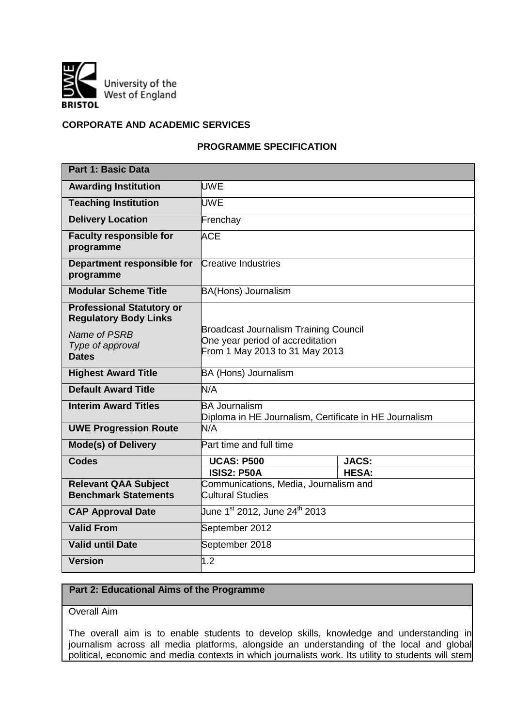

## **CORPORATE AND ACADEMIC SERVICES**

# **PROGRAMME SPECIFICATION**

| Part 1: Basic Data                                               |                                                                                |              |  |  |  |  |
|------------------------------------------------------------------|--------------------------------------------------------------------------------|--------------|--|--|--|--|
| <b>Awarding Institution</b>                                      | <b>UWE</b>                                                                     |              |  |  |  |  |
| <b>Teaching Institution</b>                                      | <b>UWE</b>                                                                     |              |  |  |  |  |
| <b>Delivery Location</b>                                         | Frenchay                                                                       |              |  |  |  |  |
| <b>Faculty responsible for</b><br>programme                      | <b>ACE</b>                                                                     |              |  |  |  |  |
| Department responsible for<br>programme                          | Creative Industries                                                            |              |  |  |  |  |
| <b>Modular Scheme Title</b>                                      | <b>BA(Hons) Journalism</b>                                                     |              |  |  |  |  |
| <b>Professional Statutory or</b><br><b>Regulatory Body Links</b> | <b>Broadcast Journalism Training Council</b>                                   |              |  |  |  |  |
| Name of PSRB<br>Type of approval                                 | One year period of accreditation                                               |              |  |  |  |  |
| <b>Dates</b>                                                     | From 1 May 2013 to 31 May 2013                                                 |              |  |  |  |  |
| <b>Highest Award Title</b>                                       | <b>BA (Hons) Journalism</b>                                                    |              |  |  |  |  |
| <b>Default Award Title</b>                                       | N/A                                                                            |              |  |  |  |  |
| <b>Interim Award Titles</b>                                      | <b>BA Journalism</b><br>Diploma in HE Journalism, Certificate in HE Journalism |              |  |  |  |  |
| <b>UWE Progression Route</b>                                     | N/A                                                                            |              |  |  |  |  |
| <b>Mode(s) of Delivery</b>                                       | Part time and full time                                                        |              |  |  |  |  |
| <b>Codes</b>                                                     | <b>UCAS: P500</b><br><b>ISIS2: P50A</b>                                        | <b>JACS:</b> |  |  |  |  |
| <b>Relevant QAA Subject</b>                                      | Communications, Media, Journalism and                                          | <b>HESA:</b> |  |  |  |  |
| <b>Benchmark Statements</b>                                      | Cultural Studies                                                               |              |  |  |  |  |
| <b>CAP Approval Date</b>                                         | June 1 <sup>st</sup> 2012, June 24 <sup>th</sup> 2013                          |              |  |  |  |  |
| <b>Valid From</b>                                                | September 2012                                                                 |              |  |  |  |  |
| <b>Valid until Date</b>                                          | September 2018                                                                 |              |  |  |  |  |
| <b>Version</b>                                                   | 1.2                                                                            |              |  |  |  |  |

# **Part 2: Educational Aims of the Programme**

Overall Aim

The overall aim is to enable students to develop skills, knowledge and understanding in journalism across all media platforms, alongside an understanding of the local and global political, economic and media contexts in which journalists work. Its utility to students will stem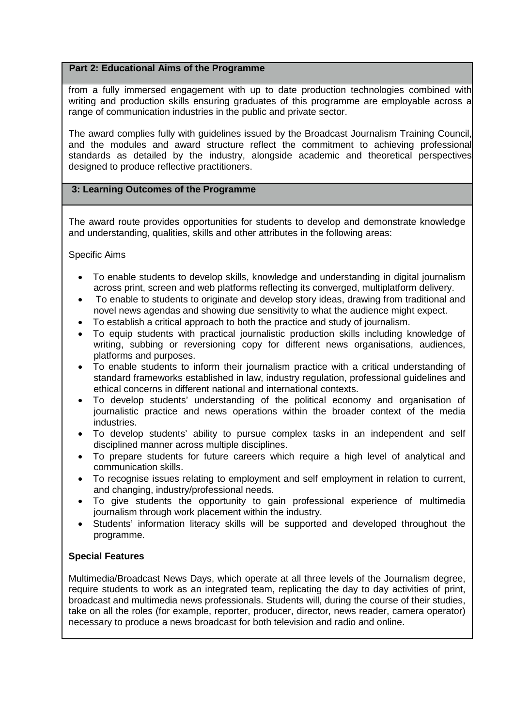# **Part 2: Educational Aims of the Programme**

from a fully immersed engagement with up to date production technologies combined with writing and production skills ensuring graduates of this programme are employable across a range of communication industries in the public and private sector.

The award complies fully with guidelines issued by the Broadcast Journalism Training Council, and the modules and award structure reflect the commitment to achieving professional standards as detailed by the industry, alongside academic and theoretical perspectives designed to produce reflective practitioners.

# **3: Learning Outcomes of the Programme**

The award route provides opportunities for students to develop and demonstrate knowledge and understanding, qualities, skills and other attributes in the following areas:

Specific Aims

- To enable students to develop skills, knowledge and understanding in digital journalism across print, screen and web platforms reflecting its converged, multiplatform delivery.
- To enable to students to originate and develop story ideas, drawing from traditional and novel news agendas and showing due sensitivity to what the audience might expect.
- To establish a critical approach to both the practice and study of journalism.
- To equip students with practical journalistic production skills including knowledge of writing, subbing or reversioning copy for different news organisations, audiences, platforms and purposes.
- To enable students to inform their journalism practice with a critical understanding of standard frameworks established in law, industry regulation, professional guidelines and ethical concerns in different national and international contexts.
- To develop students' understanding of the political economy and organisation of journalistic practice and news operations within the broader context of the media industries.
- To develop students' ability to pursue complex tasks in an independent and self disciplined manner across multiple disciplines.
- To prepare students for future careers which require a high level of analytical and communication skills.
- To recognise issues relating to employment and self employment in relation to current, and changing, industry/professional needs.
- To give students the opportunity to gain professional experience of multimedia journalism through work placement within the industry.
- Students' information literacy skills will be supported and developed throughout the programme.

# **Special Features**

Multimedia/Broadcast News Days, which operate at all three levels of the Journalism degree, require students to work as an integrated team, replicating the day to day activities of print, broadcast and multimedia news professionals. Students will, during the course of their studies, take on all the roles (for example, reporter, producer, director, news reader, camera operator) necessary to produce a news broadcast for both television and radio and online.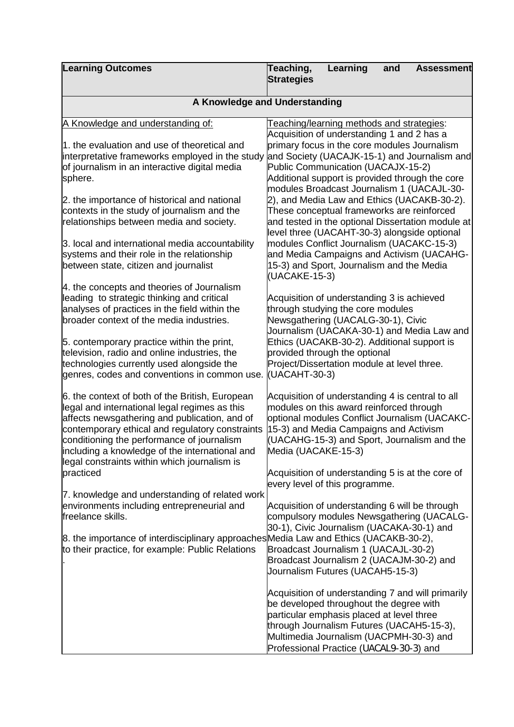| <b>Learning Outcomes</b>                                                                                                                                                                                                                                                                                                                             | Teaching,<br>Learning<br>and<br><b>Assessment</b><br><b>Strategies</b>                                                                                                                                                                                                       |  |  |  |  |  |  |  |
|------------------------------------------------------------------------------------------------------------------------------------------------------------------------------------------------------------------------------------------------------------------------------------------------------------------------------------------------------|------------------------------------------------------------------------------------------------------------------------------------------------------------------------------------------------------------------------------------------------------------------------------|--|--|--|--|--|--|--|
| A Knowledge and Understanding                                                                                                                                                                                                                                                                                                                        |                                                                                                                                                                                                                                                                              |  |  |  |  |  |  |  |
| A Knowledge and understanding of:                                                                                                                                                                                                                                                                                                                    | Teaching/learning methods and strategies:<br>Acquisition of understanding 1 and 2 has a                                                                                                                                                                                      |  |  |  |  |  |  |  |
| 1. the evaluation and use of theoretical and<br>interpretative frameworks employed in the study                                                                                                                                                                                                                                                      | primary focus in the core modules Journalism<br>and Society (UACAJK-15-1) and Journalism and                                                                                                                                                                                 |  |  |  |  |  |  |  |
| of journalism in an interactive digital media<br>sphere.                                                                                                                                                                                                                                                                                             | Public Communication (UACAJX-15-2)<br>Additional support is provided through the core<br>modules Broadcast Journalism 1 (UACAJL-30-                                                                                                                                          |  |  |  |  |  |  |  |
| 2. the importance of historical and national<br>contexts in the study of journalism and the<br>relationships between media and society.                                                                                                                                                                                                              | 2), and Media Law and Ethics (UACAKB-30-2).<br>These conceptual frameworks are reinforced<br>and tested in the optional Dissertation module at<br>level three (UACAHT-30-3) alongside optional                                                                               |  |  |  |  |  |  |  |
| 3. local and international media accountability<br>systems and their role in the relationship<br>between state, citizen and journalist                                                                                                                                                                                                               | modules Conflict Journalism (UACAKC-15-3)<br>and Media Campaigns and Activism (UACAHG-<br>15-3) and Sport, Journalism and the Media<br>(UACAKE-15-3)                                                                                                                         |  |  |  |  |  |  |  |
| 4. the concepts and theories of Journalism<br>leading to strategic thinking and critical<br>analyses of practices in the field within the<br>broader context of the media industries.                                                                                                                                                                | Acquisition of understanding 3 is achieved<br>through studying the core modules<br>Newsgathering (UACALG-30-1), Civic<br>Journalism (UACAKA-30-1) and Media Law and                                                                                                          |  |  |  |  |  |  |  |
| 5. contemporary practice within the print,<br>television, radio and online industries, the<br>technologies currently used alongside the<br>genres, codes and conventions in common use.                                                                                                                                                              | Ethics (UACAKB-30-2). Additional support is<br>provided through the optional<br>Project/Dissertation module at level three.<br>(UACAHT-30-3)                                                                                                                                 |  |  |  |  |  |  |  |
| 6. the context of both of the British, European<br>legal and international legal regimes as this<br>affects newsgathering and publication, and of<br>contemporary ethical and regulatory constraints<br>conditioning the performance of journalism<br>including a knowledge of the international and<br>legal constraints within which journalism is | Acquisition of understanding 4 is central to all<br>modules on this award reinforced through<br>optional modules Conflict Journalism (UACAKC-<br>15-3) and Media Campaigns and Activism<br>(UACAHG-15-3) and Sport, Journalism and the<br>Media (UACAKE-15-3)                |  |  |  |  |  |  |  |
| practiced<br>7. knowledge and understanding of related work<br>environments including entrepreneurial and<br>freelance skills.                                                                                                                                                                                                                       | Acquisition of understanding 5 is at the core of<br>every level of this programme.<br>Acquisition of understanding 6 will be through<br>compulsory modules Newsgathering (UACALG-                                                                                            |  |  |  |  |  |  |  |
| 8. the importance of interdisciplinary approaches Media Law and Ethics (UACAKB-30-2),<br>to their practice, for example: Public Relations                                                                                                                                                                                                            | 30-1), Civic Journalism (UACAKA-30-1) and<br>Broadcast Journalism 1 (UACAJL-30-2)<br>Broadcast Journalism 2 (UACAJM-30-2) and<br>Journalism Futures (UACAH5-15-3)                                                                                                            |  |  |  |  |  |  |  |
|                                                                                                                                                                                                                                                                                                                                                      | Acquisition of understanding 7 and will primarily<br>be developed throughout the degree with<br>particular emphasis placed at level three<br>through Journalism Futures (UACAH5-15-3),<br>Multimedia Journalism (UACPMH-30-3) and<br>Professional Practice (UACAL9-30-3) and |  |  |  |  |  |  |  |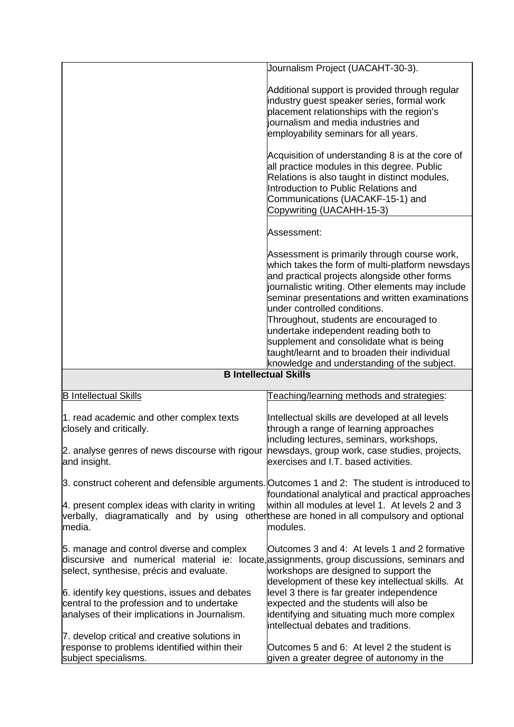|                                                                                                                                                                                     | Journalism Project (UACAHT-30-3).                                                                                                                                                                                                                                                                                                                                                                                                                                                      |
|-------------------------------------------------------------------------------------------------------------------------------------------------------------------------------------|----------------------------------------------------------------------------------------------------------------------------------------------------------------------------------------------------------------------------------------------------------------------------------------------------------------------------------------------------------------------------------------------------------------------------------------------------------------------------------------|
|                                                                                                                                                                                     | Additional support is provided through regular<br>industry guest speaker series, formal work<br>placement relationships with the region's<br>journalism and media industries and<br>employability seminars for all years.<br>Acquisition of understanding 8 is at the core of<br>all practice modules in this degree. Public<br>Relations is also taught in distinct modules,<br>Introduction to Public Relations and<br>Communications (UACAKF-15-1) and<br>Copywriting (UACAHH-15-3) |
|                                                                                                                                                                                     | Assessment:                                                                                                                                                                                                                                                                                                                                                                                                                                                                            |
|                                                                                                                                                                                     | Assessment is primarily through course work,<br>which takes the form of multi-platform newsdays<br>and practical projects alongside other forms<br>journalistic writing. Other elements may include<br>seminar presentations and written examinations<br>under controlled conditions.<br>Throughout, students are encouraged to<br>undertake independent reading both to<br>supplement and consolidate what is being                                                                   |
|                                                                                                                                                                                     | taught/learnt and to broaden their individual<br>knowledge and understanding of the subject.                                                                                                                                                                                                                                                                                                                                                                                           |
|                                                                                                                                                                                     | <b>B Intellectual Skills</b>                                                                                                                                                                                                                                                                                                                                                                                                                                                           |
| <b>B Intellectual Skills</b>                                                                                                                                                        | Teaching/learning methods and strategies:                                                                                                                                                                                                                                                                                                                                                                                                                                              |
| 1. read academic and other complex texts<br>closely and critically.                                                                                                                 | Intellectual skills are developed at all levels<br>through a range of learning approaches<br>including lectures, seminars, workshops,                                                                                                                                                                                                                                                                                                                                                  |
| 2. analyse genres of news discourse with rigour newsdays, group work, case studies, projects,<br>and insight.                                                                       | exercises and I.T. based activities.                                                                                                                                                                                                                                                                                                                                                                                                                                                   |
| 4. present complex ideas with clarity in writing<br>verbally, diagramatically and by using other these are honed in all compulsory and optional<br>media.                           | 3. construct coherent and defensible arguments. Outcomes 1 and 2: The student is introduced to<br>foundational analytical and practical approaches<br>within all modules at level 1. At levels 2 and 3<br>modules.                                                                                                                                                                                                                                                                     |
| 5. manage and control diverse and complex<br>discursive and numerical material ie: locate, assignments, group discussions, seminars and<br>select, synthesise, précis and evaluate. | Outcomes 3 and 4: At levels 1 and 2 formative<br>workshops are designed to support the<br>development of these key intellectual skills. At                                                                                                                                                                                                                                                                                                                                             |
| 6. identify key questions, issues and debates<br>central to the profession and to undertake<br>analyses of their implications in Journalism.                                        | level 3 there is far greater independence<br>expected and the students will also be<br>identifying and situating much more complex<br>intellectual debates and traditions.                                                                                                                                                                                                                                                                                                             |
| 7. develop critical and creative solutions in<br>response to problems identified within their<br>subject specialisms.                                                               | Outcomes 5 and 6: At level 2 the student is<br>given a greater degree of autonomy in the                                                                                                                                                                                                                                                                                                                                                                                               |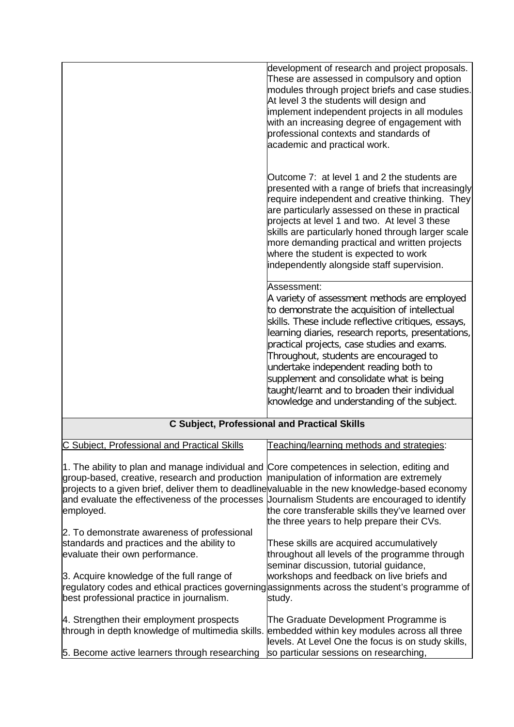|                                                                                                                                                                                                                                                                                                                                                                 | development of research and project proposals.<br>These are assessed in compulsory and option<br>modules through project briefs and case studies.<br>At level 3 the students will design and<br>implement independent projects in all modules<br>with an increasing degree of engagement with<br>professional contexts and standards of<br>academic and practical work.                                                                                                                                  |
|-----------------------------------------------------------------------------------------------------------------------------------------------------------------------------------------------------------------------------------------------------------------------------------------------------------------------------------------------------------------|----------------------------------------------------------------------------------------------------------------------------------------------------------------------------------------------------------------------------------------------------------------------------------------------------------------------------------------------------------------------------------------------------------------------------------------------------------------------------------------------------------|
|                                                                                                                                                                                                                                                                                                                                                                 | Outcome 7: at level 1 and 2 the students are<br>presented with a range of briefs that increasingly<br>require independent and creative thinking. They<br>are particularly assessed on these in practical<br>projects at level 1 and two. At level 3 these<br>skills are particularly honed through larger scale<br>more demanding practical and written projects<br>where the student is expected to work<br>independently alongside staff supervision.                                                  |
|                                                                                                                                                                                                                                                                                                                                                                 | Assessment:<br>A variety of assessment methods are employed<br>to demonstrate the acquisition of intellectual<br>skills. These include reflective critiques, essays,<br>learning diaries, research reports, presentations,<br>practical projects, case studies and exams.<br>Throughout, students are encouraged to<br>undertake independent reading both to<br>supplement and consolidate what is being<br>taught/learnt and to broaden their individual<br>knowledge and understanding of the subject. |
|                                                                                                                                                                                                                                                                                                                                                                 | <b>C Subject, Professional and Practical Skills</b>                                                                                                                                                                                                                                                                                                                                                                                                                                                      |
| C Subject, Professional and Practical Skills                                                                                                                                                                                                                                                                                                                    | Teaching/learning methods and strategies:                                                                                                                                                                                                                                                                                                                                                                                                                                                                |
| 1. The ability to plan and manage individual and Core competences in selection, editing and<br>group-based, creative, research and production<br>projects to a given brief, deliver them to deadline valuable in the new knowledge-based economy<br>and evaluate the effectiveness of the processes Uournalism Students are encouraged to identify<br>employed. | manipulation of information are extremely<br>the core transferable skills they've learned over<br>the three years to help prepare their CVs.                                                                                                                                                                                                                                                                                                                                                             |
| 2. To demonstrate awareness of professional<br>standards and practices and the ability to<br>evaluate their own performance.<br>3. Acquire knowledge of the full range of<br>best professional practice in journalism.                                                                                                                                          | These skills are acquired accumulatively<br>throughout all levels of the programme through<br>seminar discussion, tutorial guidance,<br>workshops and feedback on live briefs and<br>regulatory codes and ethical practices governing assignments across the student's programme of<br>study.                                                                                                                                                                                                            |
| 4. Strengthen their employment prospects<br>through in depth knowledge of multimedia skills.<br>5. Become active learners through researching                                                                                                                                                                                                                   | The Graduate Development Programme is<br>embedded within key modules across all three<br>levels. At Level One the focus is on study skills,<br>so particular sessions on researching,                                                                                                                                                                                                                                                                                                                    |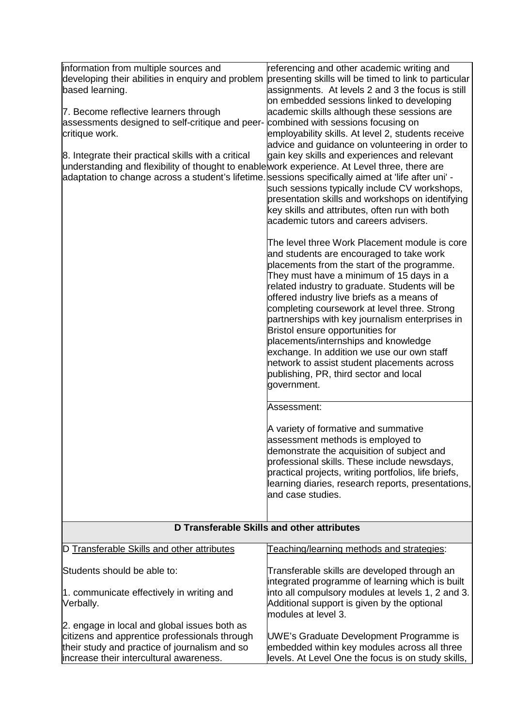| information from multiple sources and<br>based learning.<br>7. Become reflective learners through<br>assessments designed to self-critique and peer- combined with sessions focusing on<br>critique work.<br>8. Integrate their practical skills with a critical<br>understanding and flexibility of thought to enablework experience. At Level three, there are<br>adaptation to change across a student's lifetime sessions specifically aimed at 'life after uni' - | referencing and other academic writing and<br>developing their abilities in enquiry and problem presenting skills will be timed to link to particular<br>assignments. At levels 2 and 3 the focus is still<br>on embedded sessions linked to developing<br>academic skills although these sessions are<br>employability skills. At level 2, students receive<br>advice and guidance on volunteering in order to<br>gain key skills and experiences and relevant<br>such sessions typically include CV workshops,<br>presentation skills and workshops on identifying<br>key skills and attributes, often run with both<br>academic tutors and careers advisers. |
|------------------------------------------------------------------------------------------------------------------------------------------------------------------------------------------------------------------------------------------------------------------------------------------------------------------------------------------------------------------------------------------------------------------------------------------------------------------------|-----------------------------------------------------------------------------------------------------------------------------------------------------------------------------------------------------------------------------------------------------------------------------------------------------------------------------------------------------------------------------------------------------------------------------------------------------------------------------------------------------------------------------------------------------------------------------------------------------------------------------------------------------------------|
|                                                                                                                                                                                                                                                                                                                                                                                                                                                                        | The level three Work Placement module is core<br>and students are encouraged to take work<br>placements from the start of the programme.<br>They must have a minimum of 15 days in a<br>related industry to graduate. Students will be<br>offered industry live briefs as a means of<br>completing coursework at level three. Strong<br>partnerships with key journalism enterprises in<br>Bristol ensure opportunities for<br>placements/internships and knowledge<br>exchange. In addition we use our own staff<br>network to assist student placements across<br>publishing, PR, third sector and local<br>government.                                       |
|                                                                                                                                                                                                                                                                                                                                                                                                                                                                        | Assessment:<br>A variety of formative and summative<br>assessment methods is employed to<br>demonstrate the acquisition of subject and<br>professional skills. These include newsdays,<br>practical projects, writing portfolios, life briefs,<br>learning diaries, research reports, presentations,<br>and case studies.                                                                                                                                                                                                                                                                                                                                       |
|                                                                                                                                                                                                                                                                                                                                                                                                                                                                        | D Transferable Skills and other attributes                                                                                                                                                                                                                                                                                                                                                                                                                                                                                                                                                                                                                      |
| D Transferable Skills and other attributes                                                                                                                                                                                                                                                                                                                                                                                                                             | Teaching/learning methods and strategies:                                                                                                                                                                                                                                                                                                                                                                                                                                                                                                                                                                                                                       |
| Students should be able to:<br>1. communicate effectively in writing and<br>Verbally.                                                                                                                                                                                                                                                                                                                                                                                  | Transferable skills are developed through an<br>integrated programme of learning which is built<br>into all compulsory modules at levels 1, 2 and 3.<br>Additional support is given by the optional<br>modules at level 3.                                                                                                                                                                                                                                                                                                                                                                                                                                      |
| 2. engage in local and global issues both as<br>citizens and apprentice professionals through<br>their study and practice of journalism and so<br>increase their intercultural awareness.                                                                                                                                                                                                                                                                              | UWE's Graduate Development Programme is<br>embedded within key modules across all three<br>levels. At Level One the focus is on study skills,                                                                                                                                                                                                                                                                                                                                                                                                                                                                                                                   |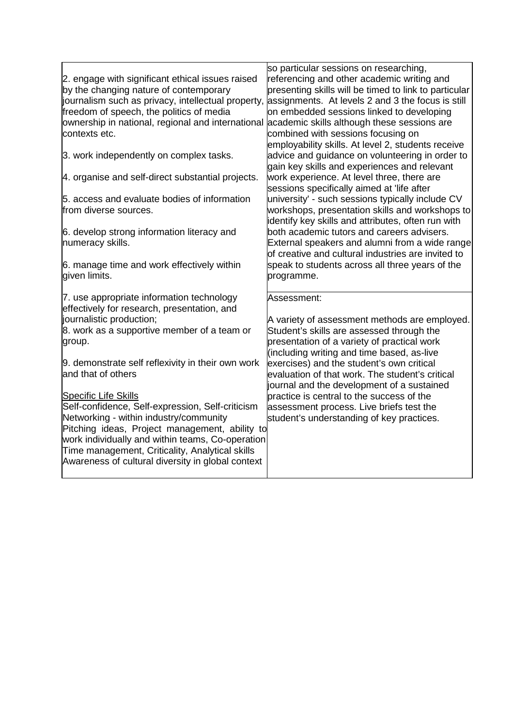|                                                                                                      | so particular sessions on researching,                |
|------------------------------------------------------------------------------------------------------|-------------------------------------------------------|
| 2. engage with significant ethical issues raised                                                     | referencing and other academic writing and            |
| by the changing nature of contemporary                                                               | presenting skills will be timed to link to particular |
| journalism such as privacy, intellectual property, assignments. At levels 2 and 3 the focus is still |                                                       |
| freedom of speech, the politics of media                                                             | on embedded sessions linked to developing             |
| ownership in national, regional and international academic skills although these sessions are        |                                                       |
| contexts etc.                                                                                        | combined with sessions focusing on                    |
|                                                                                                      | employability skills. At level 2, students receive    |
| 3. work independently on complex tasks.                                                              | advice and guidance on volunteering in order to       |
|                                                                                                      | gain key skills and experiences and relevant          |
| 4. organise and self-direct substantial projects.                                                    | work experience. At level three, there are            |
|                                                                                                      | sessions specifically aimed at 'life after            |
| 5. access and evaluate bodies of information                                                         | university' - such sessions typically include CV      |
| from diverse sources.                                                                                | workshops, presentation skills and workshops to       |
|                                                                                                      | identify key skills and attributes, often run with    |
| 6. develop strong information literacy and                                                           | both academic tutors and careers advisers.            |
| numeracy skills.                                                                                     | External speakers and alumni from a wide range        |
|                                                                                                      | of creative and cultural industries are invited to    |
| 6. manage time and work effectively within                                                           | speak to students across all three years of the       |
| given limits.                                                                                        | programme.                                            |
|                                                                                                      |                                                       |
| 7. use appropriate information technology                                                            | Assessment:                                           |
| effectively for research, presentation, and                                                          |                                                       |
| journalistic production;                                                                             | A variety of assessment methods are employed.         |
| 8. work as a supportive member of a team or                                                          | Student's skills are assessed through the             |
| group.                                                                                               | presentation of a variety of practical work           |
|                                                                                                      | (including writing and time based, as-live            |
| 9. demonstrate self reflexivity in their own work                                                    | exercises) and the student's own critical             |
| and that of others                                                                                   | evaluation of that work. The student's critical       |
|                                                                                                      | journal and the development of a sustained            |
| <b>Specific Life Skills</b>                                                                          | practice is central to the success of the             |
| Self-confidence, Self-expression, Self-criticism                                                     | assessment process. Live briefs test the              |
| Networking - within industry/community                                                               |                                                       |
| Pitching ideas, Project management, ability to                                                       | student's understanding of key practices.             |
| work individually and within teams, Co-operation                                                     |                                                       |
|                                                                                                      |                                                       |
| Time management, Criticality, Analytical skills                                                      |                                                       |
| Awareness of cultural diversity in global context                                                    |                                                       |
|                                                                                                      |                                                       |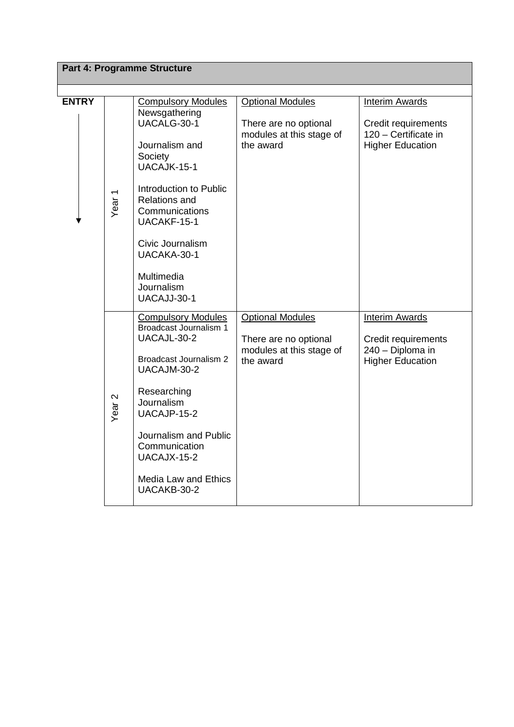|              |                   | Part 4: Programme Structure                                                     |                                                  |                                                 |
|--------------|-------------------|---------------------------------------------------------------------------------|--------------------------------------------------|-------------------------------------------------|
|              |                   |                                                                                 |                                                  |                                                 |
| <b>ENTRY</b> |                   | <b>Compulsory Modules</b><br>Newsgathering<br>UACALG-30-1                       | <b>Optional Modules</b><br>There are no optional | <b>Interim Awards</b><br>Credit requirements    |
|              |                   | Journalism and<br>Society<br>UACAJK-15-1                                        | modules at this stage of<br>the award            | 120 - Certificate in<br><b>Higher Education</b> |
|              | Year <sub>1</sub> | Introduction to Public<br><b>Relations and</b><br>Communications<br>UACAKF-15-1 |                                                  |                                                 |
|              |                   | Civic Journalism<br>UACAKA-30-1                                                 |                                                  |                                                 |
|              |                   | Multimedia<br>Journalism<br>UACAJJ-30-1                                         |                                                  |                                                 |
|              |                   | <b>Compulsory Modules</b><br><b>Broadcast Journalism 1</b><br>UACAJL-30-2       | <b>Optional Modules</b><br>There are no optional | <b>Interim Awards</b><br>Credit requirements    |
|              |                   | <b>Broadcast Journalism 2</b><br>UACAJM-30-2                                    | modules at this stage of<br>the award            | 240 - Diploma in<br><b>Higher Education</b>     |
|              | Year <sub>2</sub> | Researching<br>Journalism<br>UACAJP-15-2                                        |                                                  |                                                 |
|              |                   | Journalism and Public<br>Communication<br>UACAJX-15-2                           |                                                  |                                                 |
|              |                   | Media Law and Ethics<br>UACAKB-30-2                                             |                                                  |                                                 |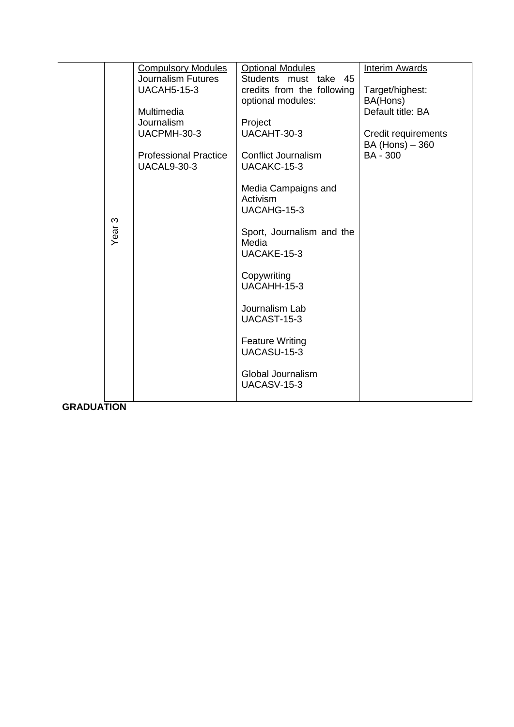| S<br>Year         | <b>Compulsory Modules</b><br><b>Journalism Futures</b><br><b>UACAH5-15-3</b><br>Multimedia<br>Journalism<br>UACPMH-30-3<br><b>Professional Practice</b><br><b>UACAL9-30-3</b> | <b>Optional Modules</b><br>Students must take 45<br>credits from the following<br>optional modules:<br>Project<br>UACAHT-30-3<br><b>Conflict Journalism</b><br>UACAKC-15-3<br>Media Campaigns and<br>Activism<br>UACAHG-15-3<br>Sport, Journalism and the<br>Media<br>UACAKE-15-3<br>Copywriting<br>UACAHH-15-3<br>Journalism Lab<br>UACAST-15-3<br><b>Feature Writing</b><br>UACASU-15-3<br>Global Journalism<br><b>UACASV-15-3</b> | <b>Interim Awards</b><br>Target/highest:<br>BA(Hons)<br>Default title: BA<br>Credit requirements<br>BA (Hons) - 360<br><b>BA - 300</b> |
|-------------------|-------------------------------------------------------------------------------------------------------------------------------------------------------------------------------|--------------------------------------------------------------------------------------------------------------------------------------------------------------------------------------------------------------------------------------------------------------------------------------------------------------------------------------------------------------------------------------------------------------------------------------|----------------------------------------------------------------------------------------------------------------------------------------|
|                   |                                                                                                                                                                               |                                                                                                                                                                                                                                                                                                                                                                                                                                      |                                                                                                                                        |
| <b>GRADUATION</b> |                                                                                                                                                                               |                                                                                                                                                                                                                                                                                                                                                                                                                                      |                                                                                                                                        |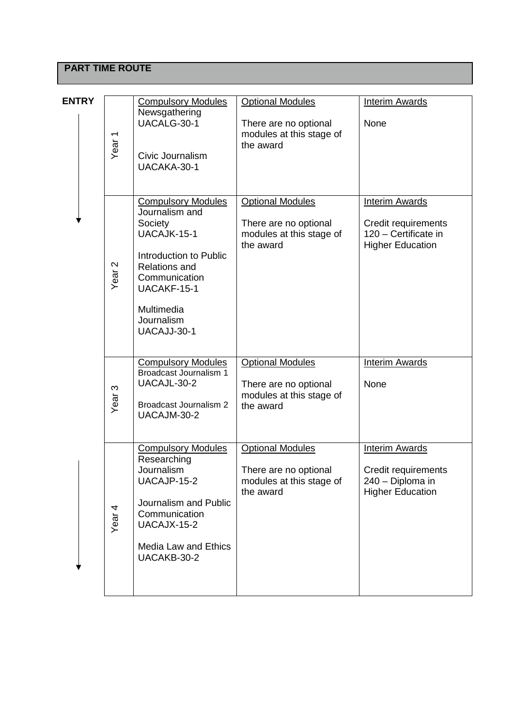# **PART TIME ROUTE**

| <b>ENTRY</b> |                   |                                                                                                                                                                                                    |                                                                                           |                                                                                                 |
|--------------|-------------------|----------------------------------------------------------------------------------------------------------------------------------------------------------------------------------------------------|-------------------------------------------------------------------------------------------|-------------------------------------------------------------------------------------------------|
|              | Year <sub>1</sub> | <b>Compulsory Modules</b><br>Newsgathering<br>UACALG-30-1<br>Civic Journalism<br>UACAKA-30-1                                                                                                       | <b>Optional Modules</b><br>There are no optional<br>modules at this stage of<br>the award | <b>Interim Awards</b><br>None                                                                   |
|              | Year <sub>2</sub> | <b>Compulsory Modules</b><br>Journalism and<br>Society<br>UACAJK-15-1<br>Introduction to Public<br><b>Relations and</b><br>Communication<br>UACAKF-15-1<br>Multimedia<br>Journalism<br>UACAJJ-30-1 | <b>Optional Modules</b><br>There are no optional<br>modules at this stage of<br>the award | <b>Interim Awards</b><br>Credit requirements<br>120 - Certificate in<br><b>Higher Education</b> |
|              | Year <sub>3</sub> | <b>Compulsory Modules</b><br>Broadcast Journalism 1<br>UACAJL-30-2<br><b>Broadcast Journalism 2</b><br>UACAJM-30-2                                                                                 | <b>Optional Modules</b><br>There are no optional<br>modules at this stage of<br>the award | <b>Interim Awards</b><br>None                                                                   |
|              | Year <sub>4</sub> | <b>Compulsory Modules</b><br>Researching<br>Journalism<br>UACAJP-15-2<br>Journalism and Public<br>Communication<br>UACAJX-15-2<br>Media Law and Ethics<br>UACAKB-30-2                              | <b>Optional Modules</b><br>There are no optional<br>modules at this stage of<br>the award | <b>Interim Awards</b><br>Credit requirements<br>240 - Diploma in<br><b>Higher Education</b>     |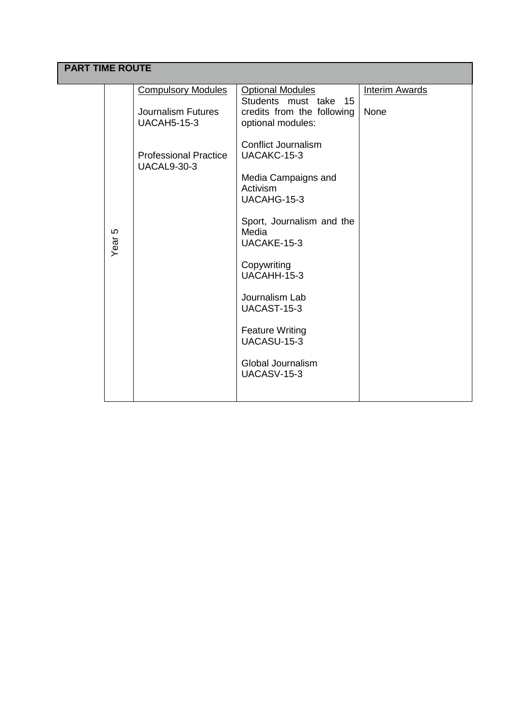# **PART TIME ROUTE**

| Year <sub>5</sub> | <b>Compulsory Modules</b><br><b>Journalism Futures</b><br><b>UACAH5-15-3</b><br><b>Professional Practice</b><br><b>UACAL9-30-3</b> | <b>Optional Modules</b><br>Students must take 15<br>credits from the following<br>optional modules:<br><b>Conflict Journalism</b><br>UACAKC-15-3<br>Media Campaigns and<br>Activism<br>UACAHG-15-3<br>Sport, Journalism and the<br>Media<br>UACAKE-15-3<br>Copywriting<br>UACAHH-15-3<br>Journalism Lab<br>UACAST-15-3<br><b>Feature Writing</b><br>UACASU-15-3<br>Global Journalism<br>UACASV-15-3 | <b>Interim Awards</b><br>None |
|-------------------|------------------------------------------------------------------------------------------------------------------------------------|-----------------------------------------------------------------------------------------------------------------------------------------------------------------------------------------------------------------------------------------------------------------------------------------------------------------------------------------------------------------------------------------------------|-------------------------------|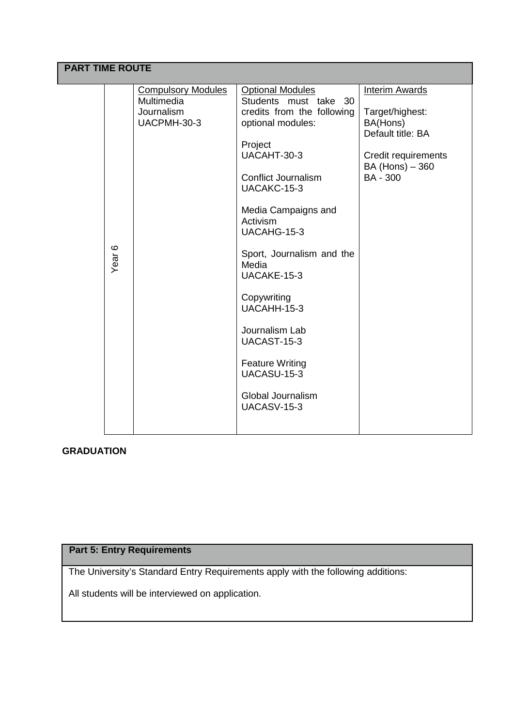|                   | <b>PART TIME ROUTE</b>                                               |                                                                                                                                                                                                                                                                                                                                                                                                                                      |                                                                                                                                        |  |  |  |  |
|-------------------|----------------------------------------------------------------------|--------------------------------------------------------------------------------------------------------------------------------------------------------------------------------------------------------------------------------------------------------------------------------------------------------------------------------------------------------------------------------------------------------------------------------------|----------------------------------------------------------------------------------------------------------------------------------------|--|--|--|--|
| Year <sub>6</sub> | <b>Compulsory Modules</b><br>Multimedia<br>Journalism<br>UACPMH-30-3 | <b>Optional Modules</b><br>Students must take 30<br>credits from the following<br>optional modules:<br>Project<br>UACAHT-30-3<br><b>Conflict Journalism</b><br>UACAKC-15-3<br>Media Campaigns and<br>Activism<br>UACAHG-15-3<br>Sport, Journalism and the<br>Media<br>UACAKE-15-3<br>Copywriting<br>UACAHH-15-3<br>Journalism Lab<br>UACAST-15-3<br><b>Feature Writing</b><br>UACASU-15-3<br>Global Journalism<br><b>UACASV-15-3</b> | <b>Interim Awards</b><br>Target/highest:<br>BA(Hons)<br>Default title: BA<br>Credit requirements<br>BA (Hons) - 360<br><b>BA - 300</b> |  |  |  |  |

# **GRADUATION**

# **Part 5: Entry Requirements**

The University's Standard Entry Requirements apply with the following additions:

All students will be interviewed on application.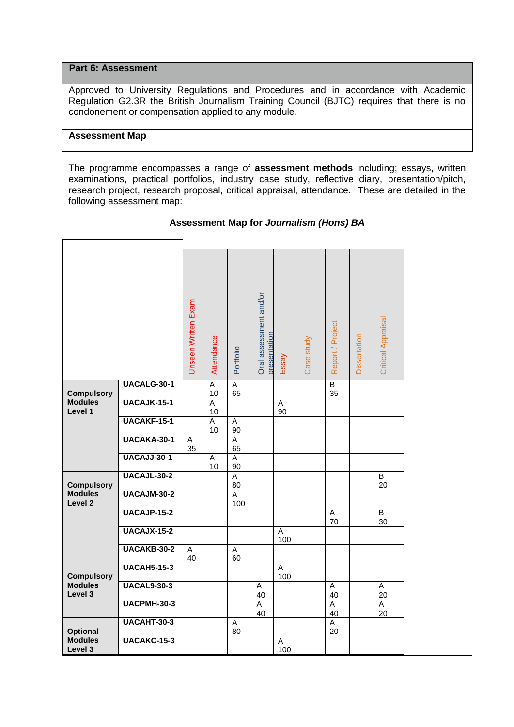### **Part 6: Assessment**

Approved to University Regulations and Procedures and in accordance with Academic Regulation G2.3R the British Journalism Training Council (BJTC) requires that there is no condonement or compensation applied to any module.

# **Assessment Map**

The programme encompasses a range of **assessment methods** including; essays, written examinations, practical portfolios, industry case study, reflective diary, presentation/pitch, research project, research proposal, critical appraisal, attendance. These are detailed in the following assessment map:

|                                      |                    | Unseen Written Exam  | Attendance           | Portfolio             | Oral assessment and/or<br>presentation | Essay    | Case study | Report / Project     | Dissertation | <b>Critical Appraisal</b> |
|--------------------------------------|--------------------|----------------------|----------------------|-----------------------|----------------------------------------|----------|------------|----------------------|--------------|---------------------------|
| <b>Compulsory</b>                    | UACALG-30-1        |                      | $\overline{A}$<br>10 | $\overline{A}$<br>65  |                                        |          |            | $\overline{B}$<br>35 |              |                           |
| <b>Modules</b><br>Level 1            | UACAJK-15-1        |                      | $\overline{A}$<br>10 |                       |                                        | Α<br>90  |            |                      |              |                           |
|                                      | <b>UACAKF-15-1</b> |                      | $\overline{A}$<br>10 | A<br>90               |                                        |          |            |                      |              |                           |
|                                      | UACAKA-30-1        | A<br>35              |                      | A<br>65               |                                        |          |            |                      |              |                           |
|                                      | <b>UACAJJ-30-1</b> |                      | A<br>10              | A<br>90               |                                        |          |            |                      |              |                           |
| <b>Compulsory</b>                    | <b>UACAJL-30-2</b> |                      |                      | $\overline{A}$<br>80  |                                        |          |            |                      |              | B<br>20                   |
| <b>Modules</b><br>Level <sub>2</sub> | UACAJM-30-2        |                      |                      | $\overline{A}$<br>100 |                                        |          |            |                      |              |                           |
|                                      | <b>UACAJP-15-2</b> |                      |                      |                       |                                        |          |            | A<br>70              |              | B<br>30                   |
|                                      | <b>UACAJX-15-2</b> |                      |                      |                       |                                        | Α<br>100 |            |                      |              |                           |
|                                      | UACAKB-30-2        | $\overline{A}$<br>40 |                      | A<br>60               |                                        |          |            |                      |              |                           |
| <b>Compulsory</b>                    | <b>UACAH5-15-3</b> |                      |                      |                       |                                        | A<br>100 |            |                      |              |                           |
| <b>Modules</b><br>Level 3            | <b>UACAL9-30-3</b> |                      |                      |                       | A<br>40                                |          |            | A<br>40              |              | $\overline{A}$<br>20      |
|                                      | <b>UACPMH-30-3</b> |                      |                      |                       | $\overline{A}$<br>40                   |          |            | A<br>40              |              | A<br>20                   |
| <b>Optional</b>                      | <b>UACAHT-30-3</b> |                      |                      | $\overline{A}$<br>80  |                                        |          |            | $\overline{A}$<br>20 |              |                           |
| <b>Modules</b><br>Level 3            | <b>UACAKC-15-3</b> |                      |                      |                       |                                        | A<br>100 |            |                      |              |                           |

## **Assessment Map for** *Journalism (Hons) BA*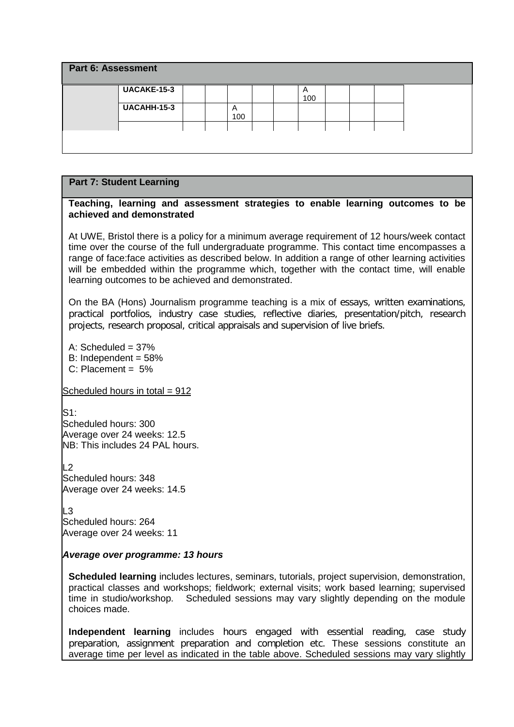| <b>Part 6: Assessment</b> |                    |  |          |  |          |  |  |  |  |  |  |
|---------------------------|--------------------|--|----------|--|----------|--|--|--|--|--|--|
|                           | <b>UACAKE-15-3</b> |  |          |  | A<br>100 |  |  |  |  |  |  |
|                           | <b>UACAHH-15-3</b> |  | A<br>100 |  |          |  |  |  |  |  |  |
|                           |                    |  |          |  |          |  |  |  |  |  |  |

#### **Teaching, learning and assessment strategies to enable learning outcomes to be achieved and demonstrated**

At UWE, Bristol there is a policy for a minimum average requirement of 12 hours/week contact time over the course of the full undergraduate programme. This contact time encompasses a range of face:face activities as described below. In addition a range of other learning activities will be embedded within the programme which, together with the contact time, will enable learning outcomes to be achieved and demonstrated.

On the BA (Hons) Journalism programme teaching is a mix of essays, written examinations, practical portfolios, industry case studies, reflective diaries, presentation/pitch, research projects, research proposal, critical appraisals and supervision of live briefs.

 $A \cdot$  Scheduled = 37%

- B: Independent  $= 58\%$
- C: Placement = 5%

Scheduled hours in total  $= 912$ 

 $S1:$ Scheduled hours: 300 Average over 24 weeks: 12.5 NB: This includes 24 PAL hours.

 $L2$ Scheduled hours: 348 Average over 24 weeks: 14.5

L3 Scheduled hours: 264 Average over 24 weeks: 11

## *Average over programme: 13 hours*

**Scheduled learning** includes lectures, seminars, tutorials, project supervision, demonstration, practical classes and workshops; fieldwork; external visits; work based learning; supervised time in studio/workshop. Scheduled sessions may vary slightly depending on the module choices made.

**Independent learning** includes hours engaged with essential reading, case study preparation, assignment preparation and completion etc. These sessions constitute an average time per level as indicated in the table above. Scheduled sessions may vary slightly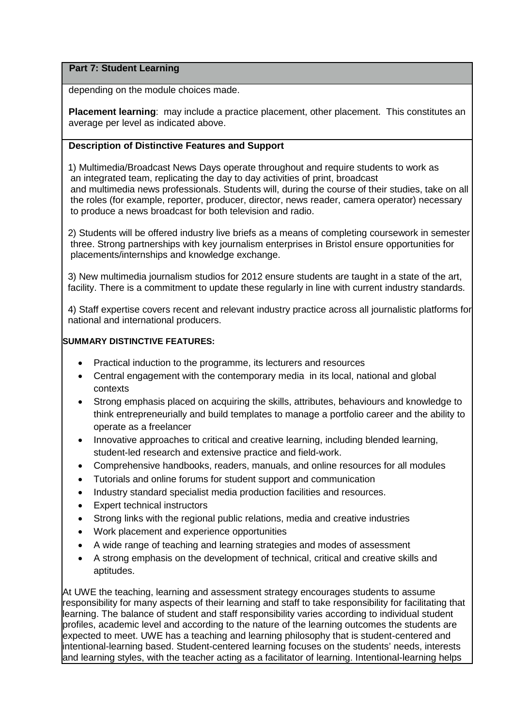depending on the module choices made.

**Placement learning**: may include a practice placement, other placement. This constitutes an average per level as indicated above.

# **Description of Distinctive Features and Support**

1) Multimedia/Broadcast News Days operate throughout and require students to work as an integrated team, replicating the day to day activities of print, broadcast and multimedia news professionals. Students will, during the course of their studies, take on all the roles (for example, reporter, producer, director, news reader, camera operator) necessary to produce a news broadcast for both television and radio.

 2) Students will be offered industry live briefs as a means of completing coursework in semester three. Strong partnerships with key journalism enterprises in Bristol ensure opportunities for placements/internships and knowledge exchange.

 3) New multimedia journalism studios for 2012 ensure students are taught in a state of the art, facility. There is a commitment to update these regularly in line with current industry standards.

 4) Staff expertise covers recent and relevant industry practice across all journalistic platforms for national and international producers.

# **SUMMARY DISTINCTIVE FEATURES:**

- Practical induction to the programme, its lecturers and resources
- Central engagement with the contemporary media in its local, national and global contexts
- Strong emphasis placed on acquiring the skills, attributes, behaviours and knowledge to think entrepreneurially and build templates to manage a portfolio career and the ability to operate as a freelancer
- Innovative approaches to critical and creative learning, including blended learning, student-led research and extensive practice and field-work.
- Comprehensive handbooks, readers, manuals, and online resources for all modules
- Tutorials and online forums for student support and communication
- Industry standard specialist media production facilities and resources.
- Expert technical instructors
- Strong links with the regional public relations, media and creative industries
- Work placement and experience opportunities
- A wide range of teaching and learning strategies and modes of assessment
- A strong emphasis on the development of technical, critical and creative skills and aptitudes.

At UWE the teaching, learning and assessment strategy encourages students to assume responsibility for many aspects of their learning and staff to take responsibility for facilitating that learning. The balance of student and staff responsibility varies according to individual student profiles, academic level and according to the nature of the learning outcomes the students are expected to meet. UWE has a teaching and learning philosophy that is student-centered and intentional-learning based. Student-centered learning focuses on the students' needs, interests and learning styles, with the teacher acting as a facilitator of learning. Intentional-learning helps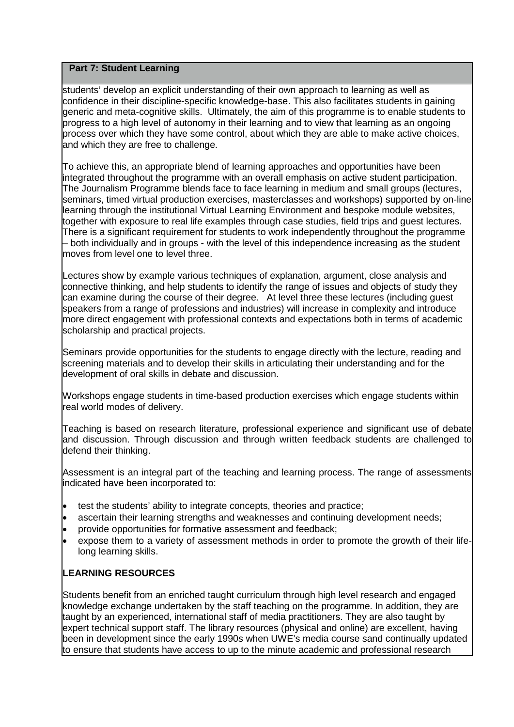students' develop an explicit understanding of their own approach to learning as well as confidence in their discipline-specific knowledge-base. This also facilitates students in gaining generic and meta-cognitive skills.Ultimately, the aim of this programme is to enable students to progress to a high level of autonomy in their learning and to view that learning as an ongoing process over which they have some control, about which they are able to make active choices, and which they are free to challenge.

To achieve this, an appropriate blend of learning approaches and opportunities have been integrated throughout the programme with an overall emphasis on active student participation. The Journalism Programme blends face to face learning in medium and small groups (lectures, seminars, timed virtual production exercises, masterclasses and workshops) supported by on-line learning through the institutional Virtual Learning Environment and bespoke module websites, together with exposure to real life examples through case studies, field trips and guest lectures. There is a significant requirement for students to work independently throughout the programme – both individually and in groups - with the level of this independence increasing as the student moves from level one to level three.

Lectures show by example various techniques of explanation, argument, close analysis and connective thinking, and help students to identify the range of issues and objects of study they can examine during the course of their degree. At level three these lectures (including guest speakers from a range of professions and industries) will increase in complexity and introduce more direct engagement with professional contexts and expectations both in terms of academic scholarship and practical projects.

Seminars provide opportunities for the students to engage directly with the lecture, reading and screening materials and to develop their skills in articulating their understanding and for the development of oral skills in debate and discussion.

Workshops engage students in time-based production exercises which engage students within real world modes of delivery.

Teaching is based on research literature, professional experience and significant use of debate and discussion. Through discussion and through written feedback students are challenged to defend their thinking.

Assessment is an integral part of the teaching and learning process. The range of assessments indicated have been incorporated to:

- test the students' ability to integrate concepts, theories and practice;
- ascertain their learning strengths and weaknesses and continuing development needs;
- provide opportunities for formative assessment and feedback;
- expose them to a variety of assessment methods in order to promote the growth of their lifelong learning skills.

# **LEARNING RESOURCES**

Students benefit from an enriched taught curriculum through high level research and engaged knowledge exchange undertaken by the staff teaching on the programme. In addition, they are taught by an experienced, international staff of media practitioners. They are also taught by expert technical support staff. The library resources (physical and online) are excellent, having been in development since the early 1990s when UWE's media course sand continually updated to ensure that students have access to up to the minute academic and professional research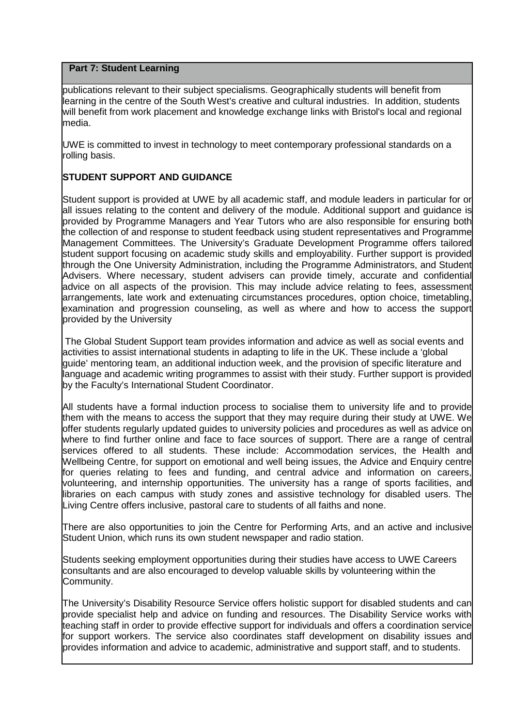publications relevant to their subject specialisms. Geographically students will benefit from learning in the centre of the South West's creative and cultural industries. In addition, students will benefit from work placement and knowledge exchange links with Bristol's local and regional media.

UWE is committed to invest in technology to meet contemporary professional standards on a rolling basis.

# **STUDENT SUPPORT AND GUIDANCE**

Student support is provided at UWE by all academic staff, and module leaders in particular for or all issues relating to the content and delivery of the module. Additional support and guidance is provided by Programme Managers and Year Tutors who are also responsible for ensuring both the collection of and response to student feedback using student representatives and Programme Management Committees. The University's Graduate Development Programme offers tailored student support focusing on academic study skills and employability. Further support is provided through the One University Administration, including the Programme Administrators, and Student Advisers. Where necessary, student advisers can provide timely, accurate and confidential advice on all aspects of the provision. This may include advice relating to fees, assessment arrangements, late work and extenuating circumstances procedures, option choice, timetabling, examination and progression counseling, as well as where and how to access the support provided by the University

The Global Student Support team provides information and advice as well as social events and activities to assist international students in adapting to life in the UK. These include a 'global guide' mentoring team, an additional induction week, and the provision of specific literature and language and academic writing programmes to assist with their study. Further support is provided by the Faculty's International Student Coordinator.

All students have a formal induction process to socialise them to university life and to provide them with the means to access the support that they may require during their study at UWE. We offer students regularly updated guides to university policies and procedures as well as advice on where to find further online and face to face sources of support. There are a range of central services offered to all students. These include: Accommodation services, the Health and Wellbeing Centre, for support on emotional and well being issues, the Advice and Enquiry centre for queries relating to fees and funding, and central advice and information on careers, volunteering, and internship opportunities. The university has a range of sports facilities, and libraries on each campus with study zones and assistive technology for disabled users. The Living Centre offers inclusive, pastoral care to students of all faiths and none.

There are also opportunities to join the Centre for Performing Arts, and an active and inclusive Student Union, which runs its own student newspaper and radio station.

Students seeking employment opportunities during their studies have access to UWE Careers consultants and are also encouraged to develop valuable skills by volunteering within the Community.

The University's Disability Resource Service offers holistic support for disabled students and can provide specialist help and advice on funding and resources. The Disability Service works with teaching staff in order to provide effective support for individuals and offers a coordination service for support workers. The service also coordinates staff development on disability issues and provides information and advice to academic, administrative and support staff, and to students.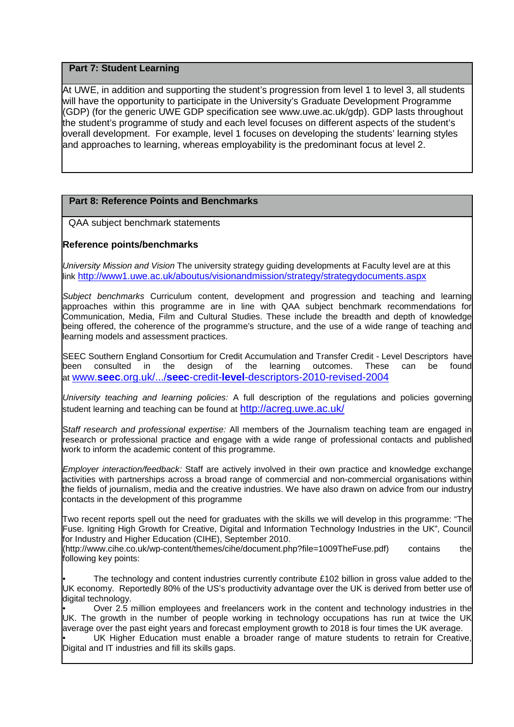At UWE, in addition and supporting the student's progression from level 1 to level 3, all students will have the opportunity to participate in the University's Graduate Development Programme (GDP) (for the generic UWE GDP specification see www.uwe.ac.uk/gdp). GDP lasts throughout the student's programme of study and each level focuses on different aspects of the student's overall development. For example, level 1 focuses on developing the students' learning styles and approaches to learning, whereas employability is the predominant focus at level 2.

# **Part 8: Reference Points and Benchmarks**

QAA subject benchmark statements

# **Reference points/benchmarks**

*University Mission and Vision* The university strategy guiding developments at Faculty level are at this link<http://www1.uwe.ac.uk/aboutus/visionandmission/strategy/strategydocuments.aspx>

*Subject benchmarks* Curriculum content, development and progression and teaching and learning approaches within this programme are in line with QAA subject benchmark recommendations for Communication, Media, Film and Cultural Studies. These include the breadth and depth of knowledge being offered, the coherence of the programme's structure, and the use of a wide range of teaching and learning models and assessment practices.

SEEC Southern England Consortium for Credit Accumulation and Transfer Credit - Level Descriptors have<br>been consulted in the design of the learning outcomes. These can be found been consulted in the design of the learning outcomes. These can be found at www.**seec**.org.uk/.../**seec**-credit-**level**[-descriptors-2010-revised-2004](http://www.seec.org.uk/.../seec-credit-level-descriptors-2010-revised-2004)

*University teaching and learning policies:* A full description of the regulations and policies governing student learning and teaching can be found at<http://acreg.uwe.ac.uk/>

S*taff research and professional expertise:* All members of the Journalism teaching team are engaged in research or professional practice and engage with a wide range of professional contacts and published work to inform the academic content of this programme.

*Employer interaction/feedback:* Staff are actively involved in their own practice and knowledge exchange activities with partnerships across a broad range of commercial and non-commercial organisations within the fields of journalism, media and the creative industries. We have also drawn on advice from our industry contacts in the development of this programme

Two recent reports spell out the need for graduates with the skills we will develop in this programme: "The Fuse. Igniting High Growth for Creative, Digital and Information Technology Industries in the UK", Council for Industry and Higher Education (CIHE), September 2010.

(http://www.cihe.co.uk/wp-content/themes/cihe/document.php?file=1009TheFuse.pdf) contains the following key points:

The technology and content industries currently contribute £102 billion in gross value added to the UK economy. Reportedly 80% of the US's productivity advantage over the UK is derived from better use of digital technology.

• Over 2.5 million employees and freelancers work in the content and technology industries in the UK. The growth in the number of people working in technology occupations has run at twice the UK average over the past eight years and forecast employment growth to 2018 is four times the UK average.

UK Higher Education must enable a broader range of mature students to retrain for Creative, Digital and IT industries and fill its skills gaps.